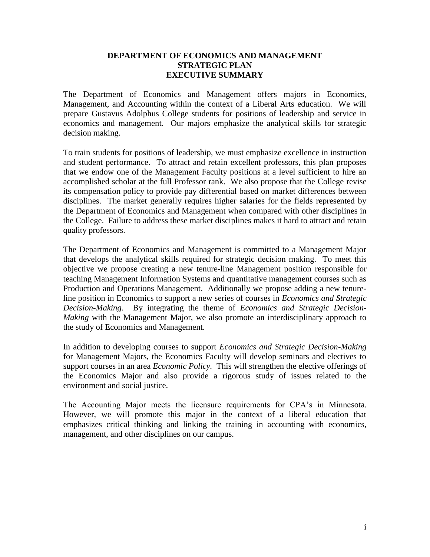#### **DEPARTMENT OF ECONOMICS AND MANAGEMENT STRATEGIC PLAN EXECUTIVE SUMMARY**

The Department of Economics and Management offers majors in Economics, Management, and Accounting within the context of a Liberal Arts education. We will prepare Gustavus Adolphus College students for positions of leadership and service in economics and management. Our majors emphasize the analytical skills for strategic decision making.

To train students for positions of leadership, we must emphasize excellence in instruction and student performance. To attract and retain excellent professors, this plan proposes that we endow one of the Management Faculty positions at a level sufficient to hire an accomplished scholar at the full Professor rank. We also propose that the College revise its compensation policy to provide pay differential based on market differences between disciplines. The market generally requires higher salaries for the fields represented by the Department of Economics and Management when compared with other disciplines in the College. Failure to address these market disciplines makes it hard to attract and retain quality professors.

The Department of Economics and Management is committed to a Management Major that develops the analytical skills required for strategic decision making. To meet this objective we propose creating a new tenure-line Management position responsible for teaching Management Information Systems and quantitative management courses such as Production and Operations Management. Additionally we propose adding a new tenureline position in Economics to support a new series of courses in *Economics and Strategic Decision-Making.* By integrating the theme of *Economics and Strategic Decision-Making* with the Management Major, we also promote an interdisciplinary approach to the study of Economics and Management.

In addition to developing courses to support *Economics and Strategic Decision-Making* for Management Majors, the Economics Faculty will develop seminars and electives to support courses in an area *Economic Policy.* This will strengthen the elective offerings of the Economics Major and also provide a rigorous study of issues related to the environment and social justice.

The Accounting Major meets the licensure requirements for CPA's in Minnesota. However, we will promote this major in the context of a liberal education that emphasizes critical thinking and linking the training in accounting with economics, management, and other disciplines on our campus.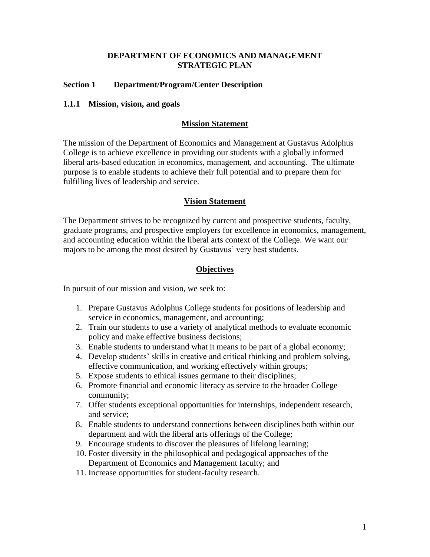#### **DEPARTMENT OF ECONOMICS AND MANAGEMENT STRATEGIC PLAN**

## **Section 1 Department/Program/Center Description**

#### **1.1.1 Mission, vision, and goals**

#### **Mission Statement**

The mission of the Department of Economics and Management at Gustavus Adolphus College is to achieve excellence in providing our students with a globally informed liberal arts-based education in economics, management, and accounting. The ultimate purpose is to enable students to achieve their full potential and to prepare them for fulfilling lives of leadership and service.

#### **Vision Statement**

The Department strives to be recognized by current and prospective students, faculty, graduate programs, and prospective employers for excellence in economics, management, and accounting education within the liberal arts context of the College. We want our majors to be among the most desired by Gustavus' very best students.

#### **Objectives**

In pursuit of our mission and vision, we seek to:

- 1. Prepare Gustavus Adolphus College students for positions of leadership and service in economics, management, and accounting;
- 2. Train our students to use a variety of analytical methods to evaluate economic policy and make effective business decisions;
- 3. Enable students to understand what it means to be part of a global economy;
- 4. Develop students' skills in creative and critical thinking and problem solving, effective communication, and working effectively within groups;
- 5. Expose students to ethical issues germane to their disciplines;
- 6. Promote financial and economic literacy as service to the broader College community;
- 7. Offer students exceptional opportunities for internships, independent research, and service;
- 8. Enable students to understand connections between disciplines both within our department and with the liberal arts offerings of the College;
- 9. Encourage students to discover the pleasures of lifelong learning;
- 10. Foster diversity in the philosophical and pedagogical approaches of the Department of Economics and Management faculty; and
- 11. Increase opportunities for student-faculty research.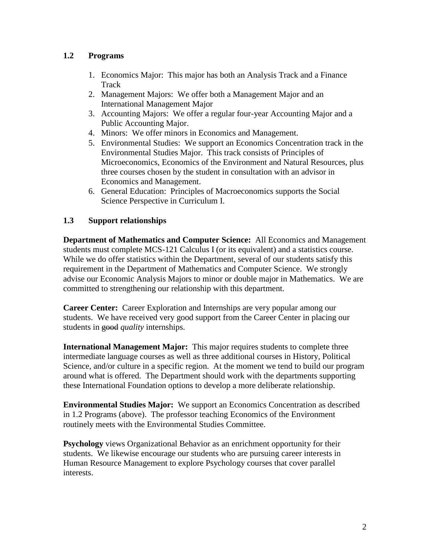# **1.2 Programs**

- 1. Economics Major: This major has both an Analysis Track and a Finance **Track**
- 2. Management Majors: We offer both a Management Major and an International Management Major
- 3. Accounting Majors: We offer a regular four-year Accounting Major and a Public Accounting Major.
- 4. Minors: We offer minors in Economics and Management.
- 5. Environmental Studies: We support an Economics Concentration track in the Environmental Studies Major. This track consists of Principles of Microeconomics, Economics of the Environment and Natural Resources, plus three courses chosen by the student in consultation with an advisor in Economics and Management.
- 6. General Education: Principles of Macroeconomics supports the Social Science Perspective in Curriculum I.

# **1.3 Support relationships**

**Department of Mathematics and Computer Science:** All Economics and Management students must complete MCS-121 Calculus I (or its equivalent) and a statistics course. While we do offer statistics within the Department, several of our students satisfy this requirement in the Department of Mathematics and Computer Science. We strongly advise our Economic Analysis Majors to minor or double major in Mathematics.We are committed to strengthening our relationship with this department.

**Career Center:** Career Exploration and Internships are very popular among our students. We have received very good support from the Career Center in placing our students in good *quality* internships.

**International Management Major:** This major requires students to complete three intermediate language courses as well as three additional courses in History, Political Science, and/or culture in a specific region. At the moment we tend to build our program around what is offered. The Department should work with the departments supporting these International Foundation options to develop a more deliberate relationship.

**Environmental Studies Major:** We support an Economics Concentration as described in 1.2 Programs (above). The professor teaching Economics of the Environment routinely meets with the Environmental Studies Committee.

**Psychology** views Organizational Behavior as an enrichment opportunity for their students. We likewise encourage our students who are pursuing career interests in Human Resource Management to explore Psychology courses that cover parallel interests.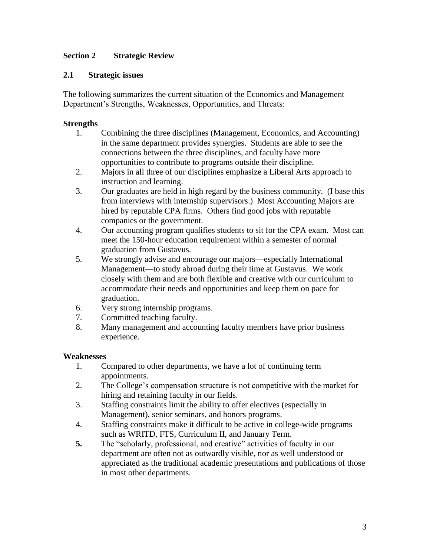# **Section 2 Strategic Review**

## **2.1 Strategic issues**

The following summarizes the current situation of the Economics and Management Department's Strengths, Weaknesses, Opportunities, and Threats:

## **Strengths**

- 1. Combining the three disciplines (Management, Economics, and Accounting) in the same department provides synergies. Students are able to see the connections between the three disciplines, and faculty have more opportunities to contribute to programs outside their discipline.
- 2. Majors in all three of our disciplines emphasize a Liberal Arts approach to instruction and learning.
- 3. Our graduates are held in high regard by the business community. (I base this from interviews with internship supervisors.) Most Accounting Majors are hired by reputable CPA firms. Others find good jobs with reputable companies or the government.
- 4. Our accounting program qualifies students to sit for the CPA exam. Most can meet the 150-hour education requirement within a semester of normal graduation from Gustavus.
- 5. We strongly advise and encourage our majors—especially International Management—to study abroad during their time at Gustavus. We work closely with them and are both flexible and creative with our curriculum to accommodate their needs and opportunities and keep them on pace for graduation.
- 6. Very strong internship programs.
- 7. Committed teaching faculty.
- 8. Many management and accounting faculty members have prior business experience.

## **Weaknesses**

- 1. Compared to other departments, we have a lot of continuing term appointments.
- 2. The College's compensation structure is not competitive with the market for hiring and retaining faculty in our fields.
- 3. Staffing constraints limit the ability to offer electives (especially in Management), senior seminars, and honors programs.
- 4. Staffing constraints make it difficult to be active in college-wide programs such as WRITD, FTS, Curriculum II, and January Term.
- **5.** The "scholarly, professional, and creative" activities of faculty in our department are often not as outwardly visible, nor as well understood or appreciated as the traditional academic presentations and publications of those in most other departments.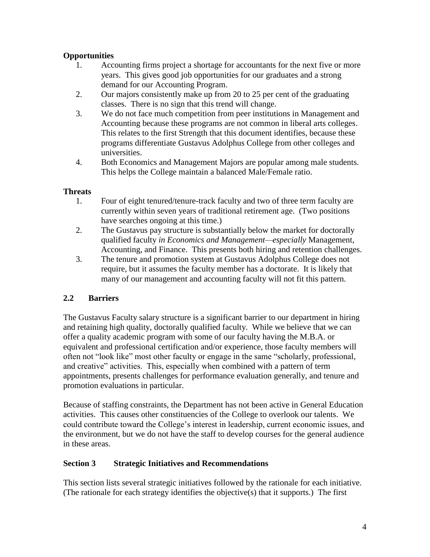# **Opportunities**

- 1. Accounting firms project a shortage for accountants for the next five or more years. This gives good job opportunities for our graduates and a strong demand for our Accounting Program.
- 2. Our majors consistently make up from 20 to 25 per cent of the graduating classes. There is no sign that this trend will change.
- 3. We do not face much competition from peer institutions in Management and Accounting because these programs are not common in liberal arts colleges. This relates to the first Strength that this document identifies, because these programs differentiate Gustavus Adolphus College from other colleges and universities.
- 4. Both Economics and Management Majors are popular among male students. This helps the College maintain a balanced Male/Female ratio.

## **Threats**

- 1. Four of eight tenured/tenure-track faculty and two of three term faculty are currently within seven years of traditional retirement age. (Two positions have searches ongoing at this time.)
- 2. The Gustavus pay structure is substantially below the market for doctorally qualified faculty *in Economics and Management—especially* Management, Accounting, and Finance. This presents both hiring and retention challenges.
- 3. The tenure and promotion system at Gustavus Adolphus College does not require, but it assumes the faculty member has a doctorate. It is likely that many of our management and accounting faculty will not fit this pattern.

# **2.2 Barriers**

The Gustavus Faculty salary structure is a significant barrier to our department in hiring and retaining high quality, doctorally qualified faculty. While we believe that we can offer a quality academic program with some of our faculty having the M.B.A. or equivalent and professional certification and/or experience, those faculty members will often not "look like" most other faculty or engage in the same "scholarly, professional, and creative" activities. This, especially when combined with a pattern of term appointments, presents challenges for performance evaluation generally, and tenure and promotion evaluations in particular.

Because of staffing constraints, the Department has not been active in General Education activities. This causes other constituencies of the College to overlook our talents. We could contribute toward the College's interest in leadership, current economic issues, and the environment, but we do not have the staff to develop courses for the general audience in these areas.

## **Section 3 Strategic Initiatives and Recommendations**

This section lists several strategic initiatives followed by the rationale for each initiative. (The rationale for each strategy identifies the objective(s) that it supports.) The first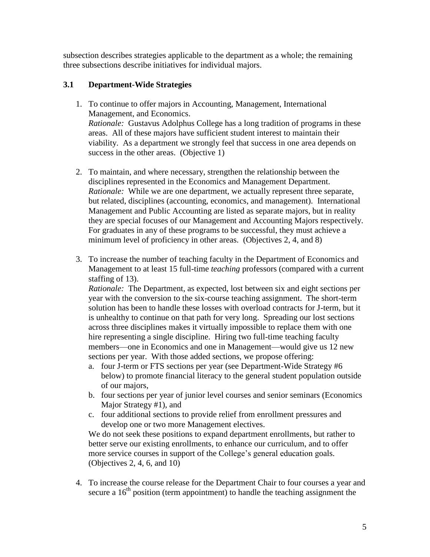subsection describes strategies applicable to the department as a whole; the remaining three subsections describe initiatives for individual majors.

## **3.1 Department-Wide Strategies**

- 1. To continue to offer majors in Accounting, Management, International Management, and Economics. *Rationale:* Gustavus Adolphus College has a long tradition of programs in these areas. All of these majors have sufficient student interest to maintain their viability. As a department we strongly feel that success in one area depends on success in the other areas. (Objective 1)
- 2. To maintain, and where necessary, strengthen the relationship between the disciplines represented in the Economics and Management Department. *Rationale:* While we are one department, we actually represent three separate, but related, disciplines (accounting, economics, and management). International Management and Public Accounting are listed as separate majors, but in reality they are special focuses of our Management and Accounting Majors respectively. For graduates in any of these programs to be successful, they must achieve a minimum level of proficiency in other areas. (Objectives 2, 4, and 8)
- 3. To increase the number of teaching faculty in the Department of Economics and Management to at least 15 full-time *teaching* professors (compared with a current staffing of 13).

*Rationale:* The Department, as expected, lost between six and eight sections per year with the conversion to the six-course teaching assignment. The short-term solution has been to handle these losses with overload contracts for J-term, but it is unhealthy to continue on that path for very long. Spreading our lost sections across three disciplines makes it virtually impossible to replace them with one hire representing a single discipline. Hiring two full-time teaching faculty members—one in Economics and one in Management—would give us 12 new sections per year. With those added sections, we propose offering:

- a. four J-term or FTS sections per year (see Department-Wide Strategy #6 below) to promote financial literacy to the general student population outside of our majors,
- b. four sections per year of junior level courses and senior seminars (Economics Major Strategy #1), and
- c. four additional sections to provide relief from enrollment pressures and develop one or two more Management electives.

We do not seek these positions to expand department enrollments, but rather to better serve our existing enrollments, to enhance our curriculum, and to offer more service courses in support of the College's general education goals. (Objectives 2, 4, 6, and 10)

4. To increase the course release for the Department Chair to four courses a year and secure a  $16<sup>th</sup>$  position (term appointment) to handle the teaching assignment the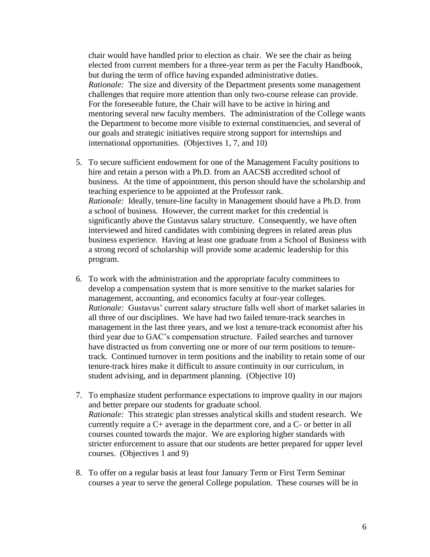chair would have handled prior to election as chair. We see the chair as being elected from current members for a three-year term as per the Faculty Handbook, but during the term of office having expanded administrative duties. *Rationale:* The size and diversity of the Department presents some management challenges that require more attention than only two-course release can provide. For the foreseeable future, the Chair will have to be active in hiring and mentoring several new faculty members. The administration of the College wants the Department to become more visible to external constituencies, and several of our goals and strategic initiatives require strong support for internships and international opportunities. (Objectives 1, 7, and 10)

- 5. To secure sufficient endowment for one of the Management Faculty positions to hire and retain a person with a Ph.D. from an AACSB accredited school of business. At the time of appointment, this person should have the scholarship and teaching experience to be appointed at the Professor rank. *Rationale:* Ideally, tenure-line faculty in Management should have a Ph.D. from a school of business. However, the current market for this credential is significantly above the Gustavus salary structure. Consequently, we have often interviewed and hired candidates with combining degrees in related areas plus business experience. Having at least one graduate from a School of Business with a strong record of scholarship will provide some academic leadership for this program.
- 6. To work with the administration and the appropriate faculty committees to develop a compensation system that is more sensitive to the market salaries for management, accounting, and economics faculty at four-year colleges. *Rationale:* Gustavus' current salary structure falls well short of market salaries in all three of our disciplines. We have had two failed tenure-track searches in management in the last three years, and we lost a tenure-track economist after his third year due to GAC's compensation structure. Failed searches and turnover have distracted us from converting one or more of our term positions to tenuretrack. Continued turnover in term positions and the inability to retain some of our tenure-track hires make it difficult to assure continuity in our curriculum, in student advising, and in department planning. (Objective 10)
- 7. To emphasize student performance expectations to improve quality in our majors and better prepare our students for graduate school. *Rationale:* This strategic plan stresses analytical skills and student research. We currently require a C+ average in the department core, and a C- or better in all courses counted towards the major. We are exploring higher standards with stricter enforcement to assure that our students are better prepared for upper level courses. (Objectives 1 and 9)
- 8. To offer on a regular basis at least four January Term or First Term Seminar courses a year to serve the general College population. These courses will be in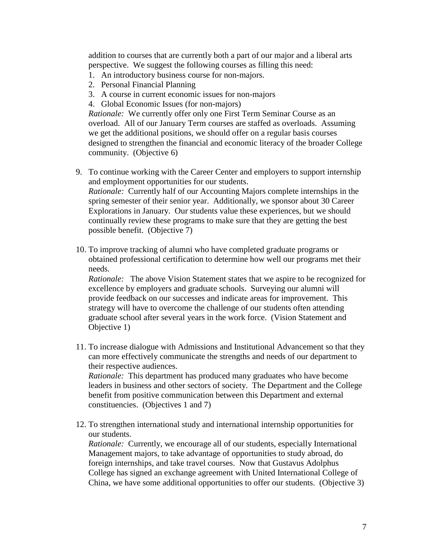addition to courses that are currently both a part of our major and a liberal arts perspective. We suggest the following courses as filling this need:

- 1. An introductory business course for non-majors.
- 2. Personal Financial Planning
- 3. A course in current economic issues for non-majors
- 4. Global Economic Issues (for non-majors)

*Rationale:* We currently offer only one First Term Seminar Course as an overload. All of our January Term courses are staffed as overloads. Assuming we get the additional positions, we should offer on a regular basis courses designed to strengthen the financial and economic literacy of the broader College community. (Objective 6)

- 9. To continue working with the Career Center and employers to support internship and employment opportunities for our students. *Rationale:* Currently half of our Accounting Majors complete internships in the spring semester of their senior year. Additionally, we sponsor about 30 Career Explorations in January. Our students value these experiences, but we should continually review these programs to make sure that they are getting the best possible benefit. (Objective 7)
- 10. To improve tracking of alumni who have completed graduate programs or obtained professional certification to determine how well our programs met their needs.

*Rationale:* The above Vision Statement states that we aspire to be recognized for excellence by employers and graduate schools. Surveying our alumni will provide feedback on our successes and indicate areas for improvement. This strategy will have to overcome the challenge of our students often attending graduate school after several years in the work force. (Vision Statement and Objective 1)

11. To increase dialogue with Admissions and Institutional Advancement so that they can more effectively communicate the strengths and needs of our department to their respective audiences.

*Rationale:* This department has produced many graduates who have become leaders in business and other sectors of society. The Department and the College benefit from positive communication between this Department and external constituencies. (Objectives 1 and 7)

12. To strengthen international study and international internship opportunities for our students.

*Rationale:* Currently, we encourage all of our students, especially International Management majors, to take advantage of opportunities to study abroad, do foreign internships, and take travel courses. Now that Gustavus Adolphus College has signed an exchange agreement with United International College of China, we have some additional opportunities to offer our students. (Objective 3)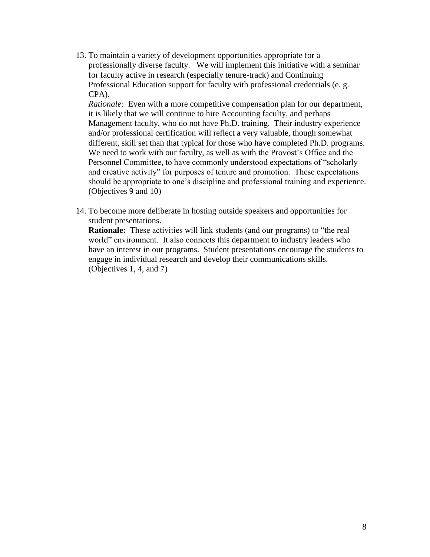13. To maintain a variety of development opportunities appropriate for a professionally diverse faculty. We will implement this initiative with a seminar for faculty active in research (especially tenure-track) and Continuing Professional Education support for faculty with professional credentials (e. g. CPA).

*Rationale:* Even with a more competitive compensation plan for our department, it is likely that we will continue to hire Accounting faculty, and perhaps Management faculty, who do not have Ph.D. training. Their industry experience and/or professional certification will reflect a very valuable, though somewhat different, skill set than that typical for those who have completed Ph.D. programs. We need to work with our faculty, as well as with the Provost's Office and the Personnel Committee, to have commonly understood expectations of "scholarly and creative activity" for purposes of tenure and promotion. These expectations should be appropriate to one's discipline and professional training and experience. (Objectives 9 and 10)

14. To become more deliberate in hosting outside speakers and opportunities for student presentations.

**Rationale:** These activities will link students (and our programs) to "the real world" environment. It also connects this department to industry leaders who have an interest in our programs. Student presentations encourage the students to engage in individual research and develop their communications skills. (Objectives 1, 4, and 7)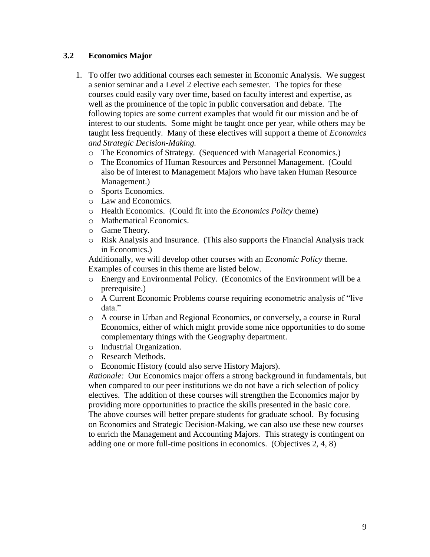## **3.2 Economics Major**

- 1. To offer two additional courses each semester in Economic Analysis. We suggest a senior seminar and a Level 2 elective each semester. The topics for these courses could easily vary over time, based on faculty interest and expertise, as well as the prominence of the topic in public conversation and debate. The following topics are some current examples that would fit our mission and be of interest to our students. Some might be taught once per year, while others may be taught less frequently. Many of these electives will support a theme of *Economics and Strategic Decision-Making.*
	- o The Economics of Strategy. (Sequenced with Managerial Economics.)
	- o The Economics of Human Resources and Personnel Management. (Could also be of interest to Management Majors who have taken Human Resource Management.)
	- o Sports Economics.
	- o Law and Economics.
	- o Health Economics. (Could fit into the *Economics Policy* theme)
	- o Mathematical Economics.
	- o Game Theory.
	- o Risk Analysis and Insurance. (This also supports the Financial Analysis track in Economics.)

Additionally, we will develop other courses with an *Economic Policy* theme. Examples of courses in this theme are listed below.

- o Energy and Environmental Policy. (Economics of the Environment will be a prerequisite.)
- o A Current Economic Problems course requiring econometric analysis of "live data."
- o A course in Urban and Regional Economics, or conversely, a course in Rural Economics, either of which might provide some nice opportunities to do some complementary things with the Geography department.
- o Industrial Organization.
- o Research Methods.
- o Economic History (could also serve History Majors).

*Rationale:* Our Economics major offers a strong background in fundamentals, but when compared to our peer institutions we do not have a rich selection of policy electives. The addition of these courses will strengthen the Economics major by providing more opportunities to practice the skills presented in the basic core. The above courses will better prepare students for graduate school. By focusing on Economics and Strategic Decision-Making, we can also use these new courses to enrich the Management and Accounting Majors. This strategy is contingent on adding one or more full-time positions in economics. (Objectives 2, 4, 8)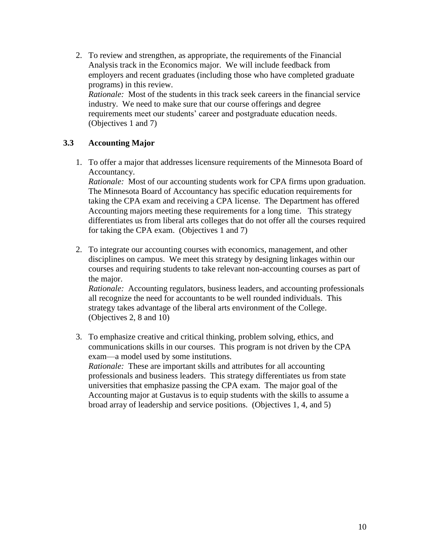2. To review and strengthen, as appropriate, the requirements of the Financial Analysis track in the Economics major. We will include feedback from employers and recent graduates (including those who have completed graduate programs) in this review. *Rationale:* Most of the students in this track seek careers in the financial service industry. We need to make sure that our course offerings and degree requirements meet our students' career and postgraduate education needs. (Objectives 1 and 7)

# **3.3 Accounting Major**

1. To offer a major that addresses licensure requirements of the Minnesota Board of Accountancy.

*Rationale:* Most of our accounting students work for CPA firms upon graduation. The Minnesota Board of Accountancy has specific education requirements for taking the CPA exam and receiving a CPA license. The Department has offered Accounting majors meeting these requirements for a long time. This strategy differentiates us from liberal arts colleges that do not offer all the courses required for taking the CPA exam. (Objectives 1 and 7)

2. To integrate our accounting courses with economics, management, and other disciplines on campus. We meet this strategy by designing linkages within our courses and requiring students to take relevant non-accounting courses as part of the major.

*Rationale:* Accounting regulators, business leaders, and accounting professionals all recognize the need for accountants to be well rounded individuals. This strategy takes advantage of the liberal arts environment of the College. (Objectives 2, 8 and 10)

3. To emphasize creative and critical thinking, problem solving, ethics, and communications skills in our courses. This program is not driven by the CPA exam—a model used by some institutions. *Rationale:* These are important skills and attributes for all accounting professionals and business leaders. This strategy differentiates us from state universities that emphasize passing the CPA exam. The major goal of the Accounting major at Gustavus is to equip students with the skills to assume a broad array of leadership and service positions. (Objectives 1, 4, and 5)